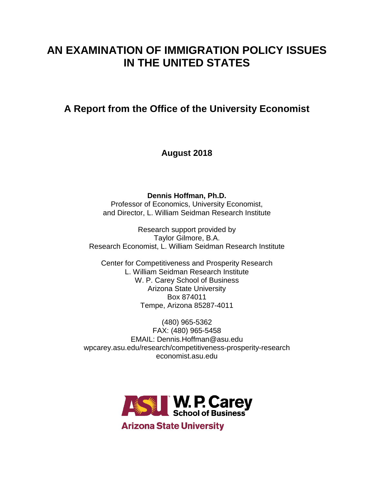# **AN EXAMINATION OF IMMIGRATION POLICY ISSUES IN THE UNITED STATES**

# **A Report from the Office of the University Economist**

**August 2018**

**Dennis Hoffman, Ph.D.**

Professor of Economics, University Economist, and Director, L. William Seidman Research Institute

Research support provided by Taylor Gilmore, B.A. Research Economist, L. William Seidman Research Institute

Center for Competitiveness and Prosperity Research L. William Seidman Research Institute W. P. Carey School of Business Arizona State University Box 874011 Tempe, Arizona 85287-4011

(480) 965-5362 FAX: (480) 965-5458 EMAIL: Dennis.Hoffman@asu.edu wpcarey.asu.edu/research/competitiveness-prosperity-research economist.asu.edu

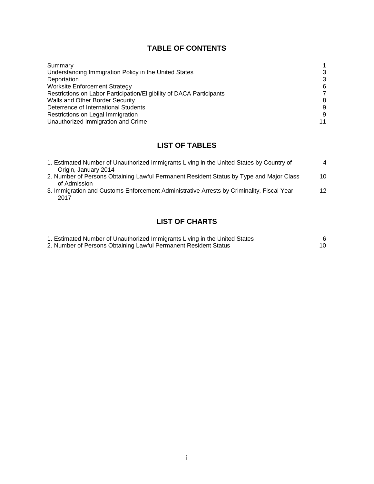## **TABLE OF CONTENTS**

| Summary                                                              |    |
|----------------------------------------------------------------------|----|
| Understanding Immigration Policy in the United States                | 3  |
| Deportation                                                          | 3  |
| <b>Worksite Enforcement Strategy</b>                                 | 6  |
| Restrictions on Labor Participation/Eligibility of DACA Participants | 7  |
| Walls and Other Border Security                                      | 8  |
| Deterrence of International Students                                 | 9  |
| Restrictions on Legal Immigration                                    | 9  |
| Unauthorized Immigration and Crime                                   | 11 |

# **LIST OF TABLES**

| 1. Estimated Number of Unauthorized Immigrants Living in the United States by Country of  | $\overline{4}$ |
|-------------------------------------------------------------------------------------------|----------------|
| Origin, January 2014                                                                      |                |
| 2. Number of Persons Obtaining Lawful Permanent Resident Status by Type and Major Class   | 10             |
| of Admission                                                                              |                |
| 3. Immigration and Customs Enforcement Administrative Arrests by Criminality, Fiscal Year | 12             |
| 2017                                                                                      |                |

# **LIST OF CHARTS**

| 1. Estimated Number of Unauthorized Immigrants Living in the United States |  |
|----------------------------------------------------------------------------|--|
| 2. Number of Persons Obtaining Lawful Permanent Resident Status            |  |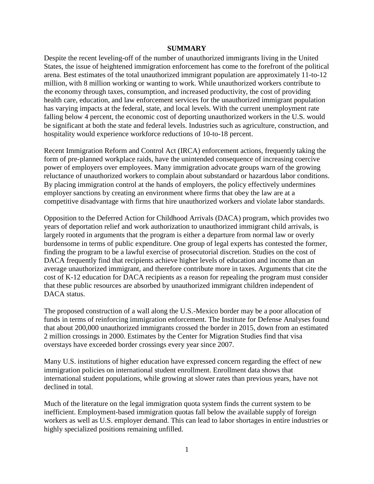#### **SUMMARY**

Despite the recent leveling-off of the number of unauthorized immigrants living in the United States, the issue of heightened immigration enforcement has come to the forefront of the political arena. Best estimates of the total unauthorized immigrant population are approximately 11-to-12 million, with 8 million working or wanting to work. While unauthorized workers contribute to the economy through taxes, consumption, and increased productivity, the cost of providing health care, education, and law enforcement services for the unauthorized immigrant population has varying impacts at the federal, state, and local levels. With the current unemployment rate falling below 4 percent, the economic cost of deporting unauthorized workers in the U.S. would be significant at both the state and federal levels. Industries such as agriculture, construction, and hospitality would experience workforce reductions of 10-to-18 percent.

Recent Immigration Reform and Control Act (IRCA) enforcement actions, frequently taking the form of pre-planned workplace raids, have the unintended consequence of increasing coercive power of employers over employees. Many immigration advocate groups warn of the growing reluctance of unauthorized workers to complain about substandard or hazardous labor conditions. By placing immigration control at the hands of employers, the policy effectively undermines employer sanctions by creating an environment where firms that obey the law are at a competitive disadvantage with firms that hire unauthorized workers and violate labor standards.

Opposition to the Deferred Action for Childhood Arrivals (DACA) program, which provides two years of deportation relief and work authorization to unauthorized immigrant child arrivals, is largely rooted in arguments that the program is either a departure from normal law or overly burdensome in terms of public expenditure. One group of legal experts has contested the former, finding the program to be a lawful exercise of prosecutorial discretion. Studies on the cost of DACA frequently find that recipients achieve higher levels of education and income than an average unauthorized immigrant, and therefore contribute more in taxes. Arguments that cite the cost of K-12 education for DACA recipients as a reason for repealing the program must consider that these public resources are absorbed by unauthorized immigrant children independent of DACA status.

The proposed construction of a wall along the U.S.-Mexico border may be a poor allocation of funds in terms of reinforcing immigration enforcement. The Institute for Defense Analyses found that about 200,000 unauthorized immigrants crossed the border in 2015, down from an estimated 2 million crossings in 2000. Estimates by the Center for Migration Studies find that visa overstays have exceeded border crossings every year since 2007.

Many U.S. institutions of higher education have expressed concern regarding the effect of new immigration policies on international student enrollment. Enrollment data shows that international student populations, while growing at slower rates than previous years, have not declined in total.

Much of the literature on the legal immigration quota system finds the current system to be inefficient. Employment-based immigration quotas fall below the available supply of foreign workers as well as U.S. employer demand. This can lead to labor shortages in entire industries or highly specialized positions remaining unfilled.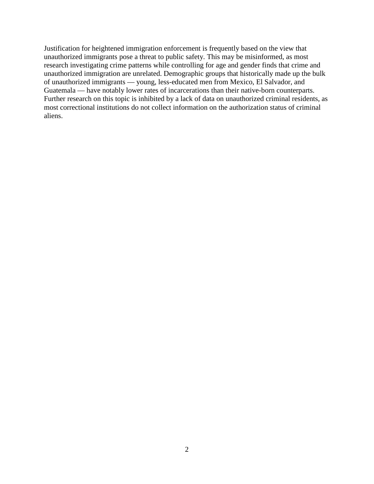Justification for heightened immigration enforcement is frequently based on the view that unauthorized immigrants pose a threat to public safety. This may be misinformed, as most research investigating crime patterns while controlling for age and gender finds that crime and unauthorized immigration are unrelated. Demographic groups that historically made up the bulk of unauthorized immigrants — young, less-educated men from Mexico, El Salvador, and Guatemala — have notably lower rates of incarcerations than their native-born counterparts. Further research on this topic is inhibited by a lack of data on unauthorized criminal residents, as most correctional institutions do not collect information on the authorization status of criminal aliens.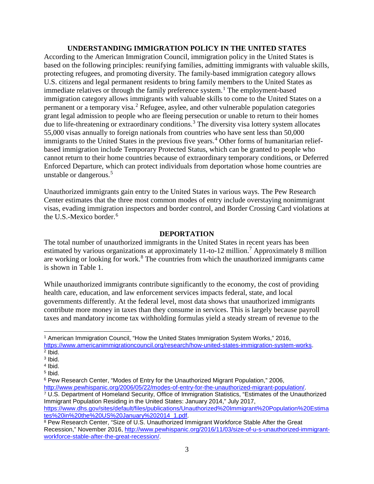#### **UNDERSTANDING IMMIGRATION POLICY IN THE UNITED STATES**

According to the American Immigration Council, immigration policy in the United States is based on the following principles: reunifying families, admitting immigrants with valuable skills, protecting refugees, and promoting diversity. The family-based immigration category allows U.S. citizens and legal permanent residents to bring family members to the United States as immediate relatives or through the family preference system.<sup>[1](#page-4-0)</sup> The employment-based immigration category allows immigrants with valuable skills to come to the United States on a permanent or a temporary visa.[2](#page-4-1) Refugee, asylee, and other vulnerable population categories grant legal admission to people who are fleeing persecution or unable to return to their homes due to life-threatening or extraordinary conditions.<sup>[3](#page-4-2)</sup> The diversity visa lottery system allocates 55,000 visas annually to foreign nationals from countries who have sent less than 50,000 immigrants to the United States in the previous five years.<sup>[4](#page-4-3)</sup> Other forms of humanitarian reliefbased immigration include Temporary Protected Status, which can be granted to people who cannot return to their home countries because of extraordinary temporary conditions, or Deferred Enforced Departure, which can protect individuals from deportation whose home countries are unstable or dangerous.<sup>[5](#page-4-4)</sup>

Unauthorized immigrants gain entry to the United States in various ways. The Pew Research Center estimates that the three most common modes of entry include overstaying nonimmigrant visas, evading immigration inspectors and border control, and Border Crossing Card violations at the U.S.-Mexico border.<sup>[6](#page-4-5)</sup>

#### **DEPORTATION**

The total number of unauthorized immigrants in the United States in recent years has been estimated by various organizations at approximately 11-to-12 million.<sup>[7](#page-4-6)</sup> Approximately 8 million are working or looking for work.<sup>[8](#page-4-7)</sup> The countries from which the unauthorized immigrants came is shown in Table 1.

While unauthorized immigrants contribute significantly to the economy, the cost of providing health care, education, and law enforcement services impacts federal, state, and local governments differently. At the federal level, most data shows that unauthorized immigrants contribute more money in taxes than they consume in services. This is largely because payroll taxes and mandatory income tax withholding formulas yield a steady stream of revenue to the

<span id="page-4-6"></span><sup>7</sup> U.S. Department of Homeland Security, Office of Immigration Statistics, "Estimates of the Unauthorized Immigrant Population Residing in the United States: January 2014," July 2017, [https://www.dhs.gov/sites/default/files/publications/Unauthorized%20Immigrant%20Population%20Estima](https://www.dhs.gov/sites/default/files/publications/Unauthorized%20Immigrant%20Population%20Estimates%20in%20the%20US%20January%202014_1.pdf)

<span id="page-4-7"></span>[tes%20in%20the%20US%20January%202014\\_1.pdf.](https://www.dhs.gov/sites/default/files/publications/Unauthorized%20Immigrant%20Population%20Estimates%20in%20the%20US%20January%202014_1.pdf) 8 Pew Research Center, "Size of U.S. Unauthorized Immigrant Workforce Stable After the Great Recession," November 2016, [http://www.pewhispanic.org/2016/11/03/size-of-u-s-unauthorized-immigrant](http://www.pewhispanic.org/2016/11/03/size-of-u-s-unauthorized-immigrant-workforce-stable-after-the-great-recession/)[workforce-stable-after-the-great-recession/.](http://www.pewhispanic.org/2016/11/03/size-of-u-s-unauthorized-immigrant-workforce-stable-after-the-great-recession/)

<span id="page-4-0"></span> <sup>1</sup> American Immigration Council, "How the United States Immigration System Works," 2016, [https://www.americanimmigrationcouncil.org/research/how-united-states-immigration-system-works.](https://www.americanimmigrationcouncil.org/research/how-united-states-immigration-system-works)  $2$  Ibid.

<span id="page-4-2"></span><span id="page-4-1"></span><sup>3</sup> Ibid.

<span id="page-4-3"></span><sup>4</sup> Ibid.

<span id="page-4-4"></span> $5$  Ibid.

<span id="page-4-5"></span><sup>6</sup> Pew Research Center, "Modes of Entry for the Unauthorized Migrant Population," 2006, [http://www.pewhispanic.org/2006/05/22/modes-of-entry-for-the-unauthorized-migrant-population/.](http://www.pewhispanic.org/2006/05/22/modes-of-entry-for-the-unauthorized-migrant-population/)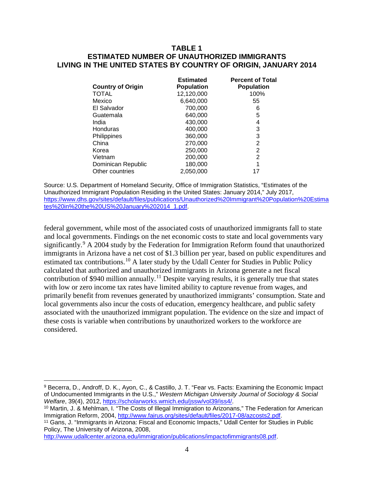#### **TABLE 1 ESTIMATED NUMBER OF UNAUTHORIZED IMMIGRANTS LIVING IN THE UNITED STATES BY COUNTRY OF ORIGIN, JANUARY 2014**

| <b>Country of Origin</b> | <b>Estimated</b><br><b>Population</b> | <b>Percent of Total</b><br><b>Population</b> |
|--------------------------|---------------------------------------|----------------------------------------------|
| <b>TOTAL</b>             | 12,120,000                            | 100%                                         |
| Mexico                   | 6,640,000                             | 55                                           |
| El Salvador              | 700,000                               | 6                                            |
| Guatemala                | 640,000                               | 5                                            |
| India                    | 430,000                               | 4                                            |
| Honduras                 | 400,000                               | 3                                            |
| Philippines              | 360,000                               | 3                                            |
| China                    | 270,000                               | 2                                            |
| Korea                    | 250,000                               | 2                                            |
| Vietnam                  | 200,000                               | 2                                            |
| Dominican Republic       | 180,000                               | 1                                            |
| Other countries          | 2,050,000                             | 17                                           |

Source: U.S. Department of Homeland Security, Office of Immigration Statistics, "Estimates of the Unauthorized Immigrant Population Residing in the United States: January 2014," July 2017, [https://www.dhs.gov/sites/default/files/publications/Unauthorized%20Immigrant%20Population%20Estima](https://www.dhs.gov/sites/default/files/publications/Unauthorized%20Immigrant%20Population%20Estimates%20in%20the%20US%20January%202014_1.pdf) [tes%20in%20the%20US%20January%202014\\_1.pdf.](https://www.dhs.gov/sites/default/files/publications/Unauthorized%20Immigrant%20Population%20Estimates%20in%20the%20US%20January%202014_1.pdf)

federal government, while most of the associated costs of unauthorized immigrants fall to state and local governments. Findings on the net economic costs to state and local governments vary significantly.<sup>[9](#page-5-0)</sup> A 2004 study by the Federation for Immigration Reform found that unauthorized immigrants in Arizona have a net cost of \$1.3 billion per year, based on public expenditures and estimated tax contributions.<sup>[10](#page-5-1)</sup> A later study by the Udall Center for Studies in Public Policy calculated that authorized and unauthorized immigrants in Arizona generate a net fiscal contribution of \$940 million annually.<sup>[11](#page-5-2)</sup> Despite varying results, it is generally true that states with low or zero income tax rates have limited ability to capture revenue from wages, and primarily benefit from revenues generated by unauthorized immigrants' consumption. State and local governments also incur the costs of education, emergency healthcare, and public safety associated with the unauthorized immigrant population. The evidence on the size and impact of these costs is variable when contributions by unauthorized workers to the workforce are considered.

[http://www.udallcenter.arizona.edu/immigration/publications/impactofimmigrants08.pdf.](http://www.udallcenter.arizona.edu/immigration/publications/impactofimmigrants08.pdf)

<span id="page-5-0"></span> <sup>9</sup> Becerra, D., Androff, D. K., Ayon, C., & Castillo, J. T. "Fear vs. Facts: Examining the Economic Impact of Undocumented Immigrants in the U.S.," *Western Michigan University Journal of Sociology & Social Welfare*, 39(4), 2012, [https://scholarworks.wmich.edu/jssw/vol39/iss4/.](https://scholarworks.wmich.edu/jssw/vol39/iss4/)

<span id="page-5-1"></span><sup>10</sup> Martin, J. & Mehlman, I. "The Costs of Illegal Immigration to Arizonans," The Federation for American Immigration Reform, 2004, [http://www.fairus.org/sites/default/files/2017-08/azcosts2.pdf.](http://www.fairus.org/sites/default/files/2017-08/azcosts2.pdf)

<span id="page-5-2"></span><sup>11</sup> Gans, J. "Immigrants in Arizona: Fiscal and Economic Impacts," Udall Center for Studies in Public Policy, The University of Arizona, 2008,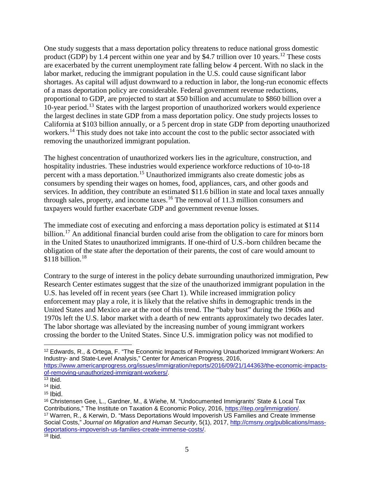One study suggests that a mass deportation policy threatens to reduce national gross domestic product (GDP) by 1.4 percent within one year and by \$4.7 trillion over 10 years.<sup>[12](#page-6-0)</sup> These costs are exacerbated by the current unemployment rate falling below 4 percent. With no slack in the labor market, reducing the immigrant population in the U.S. could cause significant labor shortages. As capital will adjust downward to a reduction in labor, the long-run economic effects of a mass deportation policy are considerable. Federal government revenue reductions, proportional to GDP, are projected to start at \$50 billion and accumulate to \$860 billion over a 10-year period.[13](#page-6-1) States with the largest proportion of unauthorized workers would experience the largest declines in state GDP from a mass deportation policy. One study projects losses to California at \$103 billion annually, or a 5 percent drop in state GDP from deporting unauthorized workers.<sup>[14](#page-6-2)</sup> This study does not take into account the cost to the public sector associated with removing the unauthorized immigrant population.

The highest concentration of unauthorized workers lies in the agriculture, construction, and hospitality industries. These industries would experience workforce reductions of 10-to-18 percent with a mass deportation.<sup>[15](#page-6-3)</sup> Unauthorized immigrants also create domestic jobs as consumers by spending their wages on homes, food, appliances, cars, and other goods and services. In addition, they contribute an estimated \$11.6 billion in state and local taxes annually through sales, property, and income taxes.[16](#page-6-4) The removal of 11.3 million consumers and taxpayers would further exacerbate GDP and government revenue losses.

The immediate cost of executing and enforcing a mass deportation policy is estimated at \$114 billion.<sup>[17](#page-6-5)</sup> An additional financial burden could arise from the obligation to care for minors born in the United States to unauthorized immigrants. If one-third of U.S.-born children became the obligation of the state after the deportation of their parents, the cost of care would amount to \$1[18](#page-6-6) billion.<sup>18</sup>

Contrary to the surge of interest in the policy debate surrounding unauthorized immigration, Pew Research Center estimates suggest that the size of the unauthorized immigrant population in the U.S. has leveled off in recent years (see Chart 1). While increased immigration policy enforcement may play a role, it is likely that the relative shifts in demographic trends in the United States and Mexico are at the root of this trend. The "baby bust" during the 1960s and 1970s left the U.S. labor market with a dearth of new entrants approximately two decades later. The labor shortage was alleviated by the increasing number of young immigrant workers crossing the border to the United States. Since U.S. immigration policy was not modified to

<span id="page-6-0"></span> <sup>12</sup> Edwards, R., & Ortega, F. "The Economic Impacts of Removing Unauthorized Immigrant Workers: An Industry- and State-Level Analysis," Center for American Progress, 2016,

[https://www.americanprogress.org/issues/immigration/reports/2016/09/21/144363/the-economic-impacts](https://www.americanprogress.org/issues/immigration/reports/2016/09/21/144363/the-economic-impacts-of-removing-unauthorized-immigrant-workers/)[of-removing-unauthorized-immigrant-workers/.](https://www.americanprogress.org/issues/immigration/reports/2016/09/21/144363/the-economic-impacts-of-removing-unauthorized-immigrant-workers/)

<span id="page-6-1"></span> $13$  Ibid.

<span id="page-6-2"></span> $14$  Ibid.

<span id="page-6-3"></span> $15$  Ibid.

<span id="page-6-6"></span><span id="page-6-5"></span><span id="page-6-4"></span><sup>16</sup> Christensen Gee, L., Gardner, M., & Wiehe, M. "Undocumented Immigrants' State & Local Tax Contributions," The Institute on Taxation & Economic Policy, 2016, [https://itep.org/immigration/.](https://itep.org/immigration/) <sup>17</sup> Warren, R., & Kerwin, D. "Mass Deportations Would Impoverish US Families and Create Immense Social Costs," *Journal on Migration and Human Security*, 5(1), 2017, [http://cmsny.org/publications/mass](http://cmsny.org/publications/mass-deportations-impoverish-us-families-create-immense-costs/)[deportations-impoverish-us-families-create-immense-costs/.](http://cmsny.org/publications/mass-deportations-impoverish-us-families-create-immense-costs/)  $18$  lbid.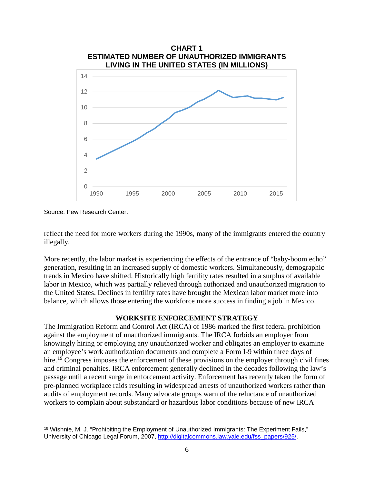

Source: Pew Research Center.

reflect the need for more workers during the 1990s, many of the immigrants entered the country illegally.

More recently, the labor market is experiencing the effects of the entrance of "baby-boom echo" generation, resulting in an increased supply of domestic workers. Simultaneously, demographic trends in Mexico have shifted. Historically high fertility rates resulted in a surplus of available labor in Mexico, which was partially relieved through authorized and unauthorized migration to the United States. Declines in fertility rates have brought the Mexican labor market more into balance, which allows those entering the workforce more success in finding a job in Mexico.

## **WORKSITE ENFORCEMENT STRATEGY**

The Immigration Reform and Control Act (IRCA) of 1986 marked the first federal prohibition against the employment of unauthorized immigrants. The IRCA forbids an employer from knowingly hiring or employing any unauthorized worker and obligates an employer to examine an employee's work authorization documents and complete a Form I-9 within three days of hire.<sup>[19](#page-7-0)</sup> Congress imposes the enforcement of these provisions on the employer through civil fines and criminal penalties. IRCA enforcement generally declined in the decades following the law's passage until a recent surge in enforcement activity. Enforcement has recently taken the form of pre-planned workplace raids resulting in widespread arrests of unauthorized workers rather than audits of employment records. Many advocate groups warn of the reluctance of unauthorized workers to complain about substandard or hazardous labor conditions because of new IRCA

<span id="page-7-0"></span> <sup>19</sup> Wishnie, M. J. "Prohibiting the Employment of Unauthorized Immigrants: The Experiment Fails," University of Chicago Legal Forum, 2007, [http://digitalcommons.law.yale.edu/fss\\_papers/925/.](http://digitalcommons.law.yale.edu/fss_papers/925/)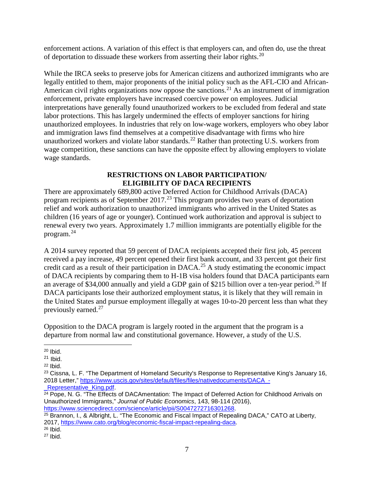enforcement actions. A variation of this effect is that employers can, and often do, use the threat of deportation to dissuade these workers from asserting their labor rights.<sup>[20](#page-8-0)</sup>

While the IRCA seeks to preserve jobs for American citizens and authorized immigrants who are legally entitled to them, major proponents of the initial policy such as the AFL-CIO and African-American civil rights organizations now oppose the sanctions.<sup>[21](#page-8-1)</sup> As an instrument of immigration enforcement, private employers have increased coercive power on employees. Judicial interpretations have generally found unauthorized workers to be excluded from federal and state labor protections. This has largely undermined the effects of employer sanctions for hiring unauthorized employees. In industries that rely on low-wage workers, employers who obey labor and immigration laws find themselves at a competitive disadvantage with firms who hire unauthorized workers and violate labor standards.<sup>[22](#page-8-2)</sup> Rather than protecting U.S. workers from wage competition, these sanctions can have the opposite effect by allowing employers to violate wage standards.

#### **RESTRICTIONS ON LABOR PARTICIPATION/ ELIGIBILITY OF DACA RECIPIENTS**

There are approximately 689,800 active Deferred Action for Childhood Arrivals (DACA) program recipients as of September 2017.<sup>[23](#page-8-3)</sup> This program provides two years of deportation relief and work authorization to unauthorized immigrants who arrived in the United States as children (16 years of age or younger). Continued work authorization and approval is subject to renewal every two years. Approximately 1.7 million immigrants are potentially eligible for the program.[24](#page-8-4)

A 2014 survey reported that 59 percent of DACA recipients accepted their first job, 45 percent received a pay increase, 49 percent opened their first bank account, and 33 percent got their first credit card as a result of their participation in DACA. [25](#page-8-5) A study estimating the economic impact of DACA recipients by comparing them to H-1B visa holders found that DACA participants earn an average of \$34,000 annually and yield a GDP gain of \$215 billion over a ten-year period.<sup>[26](#page-8-6)</sup> If DACA participants lose their authorized employment status, it is likely that they will remain in the United States and pursue employment illegally at wages 10-to-20 percent less than what they previously earned.[27](#page-8-7)

Opposition to the DACA program is largely rooted in the argument that the program is a departure from normal law and constitutional governance. However, a study of the U.S.

Representative King.pdf

<span id="page-8-0"></span> <sup>20</sup> Ibid.

<span id="page-8-1"></span> $21$  Ibid.

<span id="page-8-2"></span> $22$  Ibid.

<span id="page-8-3"></span><sup>&</sup>lt;sup>23</sup> Cissna, L. F. "The Department of Homeland Security's Response to Representative King's January 16, 2018 Letter," [https://www.uscis.gov/sites/default/files/files/nativedocuments/DACA\\_-](https://www.uscis.gov/sites/default/files/files/nativedocuments/DACA_-_Representative_King.pdf)

<span id="page-8-4"></span><sup>&</sup>lt;sup>24</sup> Pope, N. G. "The Effects of DACAmentation: The Impact of Deferred Action for Childhood Arrivals on Unauthorized Immigrants," *Journal of Public Economics*, 143, 98-114 (2016), [https://www.sciencedirect.com/science/article/pii/S0047272716301268.](https://www.sciencedirect.com/science/article/pii/S0047272716301268)

<span id="page-8-5"></span><sup>&</sup>lt;sup>25</sup> Brannon, I., & Albright, L. "The Economic and Fiscal Impact of Repealing DACA," CATO at Liberty, 2017, [https://www.cato.org/blog/economic-fiscal-impact-repealing-daca.](https://www.cato.org/blog/economic-fiscal-impact-repealing-daca)

<span id="page-8-6"></span><sup>26</sup> Ibid.

<span id="page-8-7"></span> $27$  Ibid.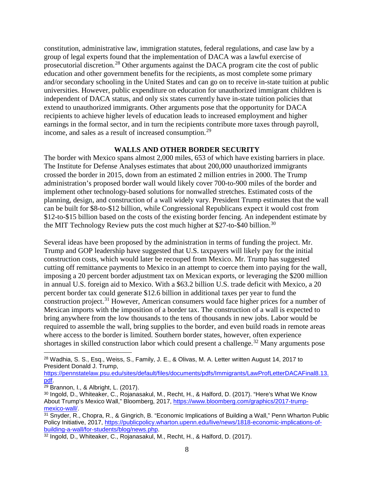constitution, administrative law, immigration statutes, federal regulations, and case law by a group of legal experts found that the implementation of DACA was a lawful exercise of prosecutorial discretion.[28](#page-9-0) Other arguments against the DACA program cite the cost of public education and other government benefits for the recipients, as most complete some primary and/or secondary schooling in the United States and can go on to receive in-state tuition at public universities. However, public expenditure on education for unauthorized immigrant children is independent of DACA status, and only six states currently have in-state tuition policies that extend to unauthorized immigrants. Other arguments pose that the opportunity for DACA recipients to achieve higher levels of education leads to increased employment and higher earnings in the formal sector, and in turn the recipients contribute more taxes through payroll, income, and sales as a result of increased consumption.<sup>[29](#page-9-1)</sup>

#### **WALLS AND OTHER BORDER SECURITY**

The border with Mexico spans almost 2,000 miles, 653 of which have existing barriers in place. The Institute for Defense Analyses estimates that about 200,000 unauthorized immigrants crossed the border in 2015, down from an estimated 2 million entries in 2000. The Trump administration's proposed border wall would likely cover 700-to-900 miles of the border and implement other technology-based solutions for nonwalled stretches. Estimated costs of the planning, design, and construction of a wall widely vary. President Trump estimates that the wall can be built for \$8-to-\$12 billion, while Congressional Republicans expect it would cost from \$12-to-\$15 billion based on the costs of the existing border fencing. An independent estimate by the MIT Technology Review puts the cost much higher at \$27-to-\$40 billion.<sup>[30](#page-9-2)</sup>

Several ideas have been proposed by the administration in terms of funding the project. Mr. Trump and GOP leadership have suggested that U.S. taxpayers will likely pay for the initial construction costs, which would later be recouped from Mexico. Mr. Trump has suggested cutting off remittance payments to Mexico in an attempt to coerce them into paying for the wall, imposing a 20 percent border adjustment tax on Mexican exports, or leveraging the \$200 million in annual U.S. foreign aid to Mexico. With a \$63.2 billion U.S. trade deficit with Mexico, a 20 percent border tax could generate \$12.6 billion in additional taxes per year to fund the construction project.<sup>[31](#page-9-3)</sup> However, American consumers would face higher prices for a number of Mexican imports with the imposition of a border tax. The construction of a wall is expected to bring anywhere from the low thousands to the tens of thousands in new jobs. Labor would be required to assemble the wall, bring supplies to the border, and even build roads in remote areas where access to the border is limited. Southern border states, however, often experience shortages in skilled construction labor which could present a challenge.<sup>[32](#page-9-4)</sup> Many arguments pose

[https://pennstatelaw.psu.edu/sites/default/files/documents/pdfs/Immigrants/LawProfLetterDACAFinal8.13.](https://pennstatelaw.psu.edu/sites/default/files/documents/pdfs/Immigrants/LawProfLetterDACAFinal8.13.pdf)<br>pdf.

<span id="page-9-0"></span><sup>&</sup>lt;sup>28</sup> Wadhia, S. S., Esq., Weiss, S., Family, J. E., & Olivas, M. A. Letter written August 14, 2017 to President Donald J. Trump,

<span id="page-9-1"></span><sup>&</sup>lt;sup>29</sup> Brannon, I., & Albright, L. (2017).

<span id="page-9-2"></span><sup>30</sup> Ingold, D., Whiteaker, C., Rojanasakul, M., Recht, H., & Halford, D. (2017). "Here's What We Know About Trump's Mexico Wall," Bloomberg, 2017, [https://www.bloomberg.com/graphics/2017-trump](https://www.bloomberg.com/graphics/2017-trump-mexico-wall/)[mexico-wall/.](https://www.bloomberg.com/graphics/2017-trump-mexico-wall/)

<span id="page-9-3"></span> $31$  Snyder, R., Chopra, R., & Gingrich, B. "Economic Implications of Building a Wall," Penn Wharton Public Policy Initiative, 2017, [https://publicpolicy.wharton.upenn.edu/live/news/1818-economic-implications-of](https://publicpolicy.wharton.upenn.edu/live/news/1818-economic-implications-of-building-a-wall/for-students/blog/news.php)[building-a-wall/for-students/blog/news.php.](https://publicpolicy.wharton.upenn.edu/live/news/1818-economic-implications-of-building-a-wall/for-students/blog/news.php)

<span id="page-9-4"></span><sup>32</sup> Ingold, D., Whiteaker, C., Rojanasakul, M., Recht, H., & Halford, D. (2017).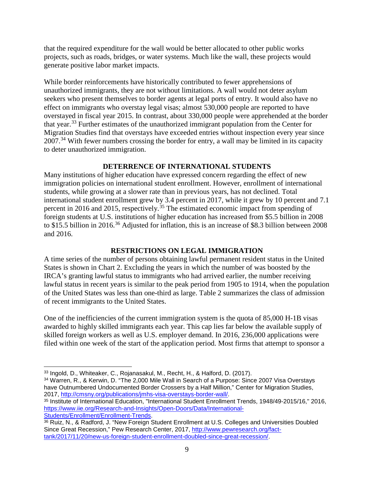that the required expenditure for the wall would be better allocated to other public works projects, such as roads, bridges, or water systems. Much like the wall, these projects would generate positive labor market impacts.

While border reinforcements have historically contributed to fewer apprehensions of unauthorized immigrants, they are not without limitations. A wall would not deter asylum seekers who present themselves to border agents at legal ports of entry. It would also have no effect on immigrants who overstay legal visas; almost 530,000 people are reported to have overstayed in fiscal year 2015. In contrast, about 330,000 people were apprehended at the border that year.[33](#page-10-0) Further estimates of the unauthorized immigrant population from the Center for Migration Studies find that overstays have exceeded entries without inspection every year since 2007.<sup>[34](#page-10-1)</sup> With fewer numbers crossing the border for entry, a wall may be limited in its capacity to deter unauthorized immigration.

## **DETERRENCE OF INTERNATIONAL STUDENTS**

Many institutions of higher education have expressed concern regarding the effect of new immigration policies on international student enrollment. However, enrollment of international students, while growing at a slower rate than in previous years, has not declined. Total international student enrollment grew by 3.4 percent in 2017, while it grew by 10 percent and 7.1 percent in 2016 and 2015, respectively.<sup>[35](#page-10-2)</sup> The estimated economic impact from spending of foreign students at U.S. institutions of higher education has increased from \$5.5 billion in 2008 to \$15.5 billion in 2016.<sup>[36](#page-10-3)</sup> Adjusted for inflation, this is an increase of \$8.3 billion between 2008 and 2016.

## **RESTRICTIONS ON LEGAL IMMIGRATION**

A time series of the number of persons obtaining lawful permanent resident status in the United States is shown in Chart 2. Excluding the years in which the number of was boosted by the IRCA's granting lawful status to immigrants who had arrived earlier, the number receiving lawful status in recent years is similar to the peak period from 1905 to 1914, when the population of the United States was less than one-third as large. Table 2 summarizes the class of admission of recent immigrants to the United States.

One of the inefficiencies of the current immigration system is the quota of 85,000 H-1B visas awarded to highly skilled immigrants each year. This cap lies far below the available supply of skilled foreign workers as well as U.S. employer demand. In 2016, 236,000 applications were filed within one week of the start of the application period. Most firms that attempt to sponsor a

<span id="page-10-1"></span><sup>34</sup> Warren, R., & Kerwin, D. "The 2,000 Mile Wall in Search of a Purpose: Since 2007 Visa Overstays have Outnumbered Undocumented Border Crossers by a Half Million," Center for Migration Studies, 2017, [http://cmsny.org/publications/jmhs-visa-overstays-border-wall/.](http://cmsny.org/publications/jmhs-visa-overstays-border-wall/)

<span id="page-10-2"></span><sup>35</sup> Institute of International Education, "International Student Enrollment Trends, 1948/49-2015/16," 2016, [https://www.iie.org/Research-and-Insights/Open-Doors/Data/International-](https://www.iie.org/Research-and-Insights/Open-Doors/Data/International-Students/Enrollment/Enrollment-Trends)[Students/Enrollment/Enrollment-Trends.](https://www.iie.org/Research-and-Insights/Open-Doors/Data/International-Students/Enrollment/Enrollment-Trends)

<span id="page-10-0"></span> <sup>33</sup> Ingold, D., Whiteaker, C., Rojanasakul, M., Recht, H., & Halford, D. (2017).

<span id="page-10-3"></span><sup>36</sup> Ruiz, N., & Radford, J. "New Foreign Student Enrollment at U.S. Colleges and Universities Doubled Since Great Recession," Pew Research Center, 2017, [http://www.pewresearch.org/fact](http://www.pewresearch.org/fact-tank/2017/11/20/new-us-foreign-student-enrollment-doubled-since-great-recession/)[tank/2017/11/20/new-us-foreign-student-enrollment-doubled-since-great-recession/.](http://www.pewresearch.org/fact-tank/2017/11/20/new-us-foreign-student-enrollment-doubled-since-great-recession/)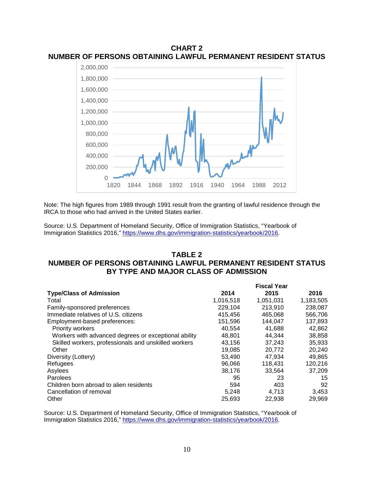

**CHART 2 NUMBER OF PERSONS OBTAINING LAWFUL PERMANENT RESIDENT STATUS**

Note: The high figures from 1989 through 1991 result from the granting of lawful residence through the IRCA to those who had arrived in the United States earlier.

Source: U.S. Department of Homeland Security, Office of Immigration Statistics, "Yearbook of Immigration Statistics 2016," [https://www.dhs.gov/immigration-statistics/yearbook/2016.](https://www.dhs.gov/immigration-statistics/yearbook/2016)

#### **TABLE 2 NUMBER OF PERSONS OBTAINING LAWFUL PERMANENT RESIDENT STATUS BY TYPE AND MAJOR CLASS OF ADMISSION**

|                                                      |           | <b>Fiscal Year</b> |           |
|------------------------------------------------------|-----------|--------------------|-----------|
| <b>Type/Class of Admission</b>                       | 2014      | 2015               | 2016      |
| Total                                                | 1,016,518 | 1,051,031          | 1,183,505 |
| Family-sponsored preferences                         | 229,104   | 213,910            | 238,087   |
| Immediate relatives of U.S. citizens                 | 415,456   | 465,068            | 566,706   |
| Employment-based preferences:                        | 151,596   | 144,047            | 137,893   |
| <b>Priority workers</b>                              | 40.554    | 41.688             | 42,862    |
| Workers with advanced degrees or exceptional ability | 48,801    | 44.344             | 38,858    |
| Skilled workers, professionals and unskilled workers | 43,156    | 37,243             | 35,933    |
| Other                                                | 19,085    | 20,772             | 20,240    |
| Diversity (Lottery)                                  | 53.490    | 47,934             | 49,865    |
| Refugees                                             | 96.066    | 118,431            | 120,216   |
| Asylees                                              | 38.176    | 33.564             | 37.209    |
| Parolees                                             | 95        | 23                 | 15        |
| Children born abroad to alien residents              | 594       | 403                | 92        |
| Cancellation of removal                              | 5,248     | 4,713              | 3,453     |
| Other                                                | 25,693    | 22,938             | 29,969    |

Source: U.S. Department of Homeland Security, Office of Immigration Statistics, "Yearbook of Immigration Statistics 2016," [https://www.dhs.gov/immigration-statistics/yearbook/2016.](https://www.dhs.gov/immigration-statistics/yearbook/2016)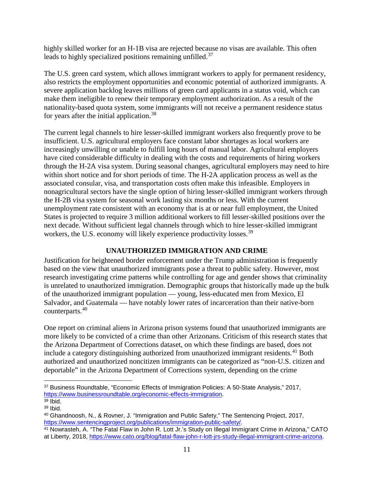highly skilled worker for an H-1B visa are rejected because no visas are available. This often leads to highly specialized positions remaining unfilled.<sup>[37](#page-12-0)</sup>

The U.S. green card system, which allows immigrant workers to apply for permanent residency, also restricts the employment opportunities and economic potential of authorized immigrants. A severe application backlog leaves millions of green card applicants in a status void, which can make them ineligible to renew their temporary employment authorization. As a result of the nationality-based quota system, some immigrants will not receive a permanent residence status for years after the initial application.<sup>[38](#page-12-1)</sup>

The current legal channels to hire lesser-skilled immigrant workers also frequently prove to be insufficient. U.S. agricultural employers face constant labor shortages as local workers are increasingly unwilling or unable to fulfill long hours of manual labor. Agricultural employers have cited considerable difficulty in dealing with the costs and requirements of hiring workers through the H-2A visa system. During seasonal changes, agricultural employers may need to hire within short notice and for short periods of time. The H-2A application process as well as the associated consular, visa, and transportation costs often make this infeasible. Employers in nonagricultural sectors have the single option of hiring lesser-skilled immigrant workers through the H-2B visa system for seasonal work lasting six months or less. With the current unemployment rate consistent with an economy that is at or near full employment, the United States is projected to require 3 million additional workers to fill lesser-skilled positions over the next decade. Without sufficient legal channels through which to hire lesser-skilled immigrant workers, the U.S. economy will likely experience productivity losses.<sup>[39](#page-12-2)</sup>

## **UNAUTHORIZED IMMIGRATION AND CRIME**

Justification for heightened border enforcement under the Trump administration is frequently based on the view that unauthorized immigrants pose a threat to public safety. However, most research investigating crime patterns while controlling for age and gender shows that criminality is unrelated to unauthorized immigration. Demographic groups that historically made up the bulk of the unauthorized immigrant population — young, less-educated men from Mexico, El Salvador, and Guatemala — have notably lower rates of incarceration than their native-born counterparts.[40](#page-12-3)

One report on criminal aliens in Arizona prison systems found that unauthorized immigrants are more likely to be convicted of a crime than other Arizonans. Criticism of this research states that the Arizona Department of Corrections dataset, on which these findings are based, does not include a category distinguishing authorized from unauthorized immigrant residents.<sup>[41](#page-12-4)</sup> Both authorized and unauthorized noncitizen immigrants can be categorized as "non-U.S. citizen and deportable" in the Arizona Department of Corrections system, depending on the crime

<span id="page-12-0"></span> <sup>37</sup> Business Roundtable, "Economic Effects of Immigration Policies: A 50-State Analysis," 2017, [https://www.businessroundtable.org/economic-effects-immigration.](https://www.businessroundtable.org/economic-effects-immigration)

<span id="page-12-1"></span> $38$  Ibid.

<span id="page-12-2"></span><sup>39</sup> Ibid.

<span id="page-12-3"></span><sup>40</sup> Ghandnoosh, N., & Rovner, J. "Immigration and Public Safety," The Sentencing Project, 2017, [https://www.sentencingproject.org/publications/immigration-public-safety/.](https://www.sentencingproject.org/publications/immigration-public-safety/)

<span id="page-12-4"></span><sup>41</sup> Nowrasteh, A. "The Fatal Flaw in John R. Lott Jr.'s Study on Illegal Immigrant Crime in Arizona," CATO at Liberty, 2018, [https://www.cato.org/blog/fatal-flaw-john-r-lott-jrs-study-illegal-immigrant-crime-arizona.](https://www.cato.org/blog/fatal-flaw-john-r-lott-jrs-study-illegal-immigrant-crime-arizona)